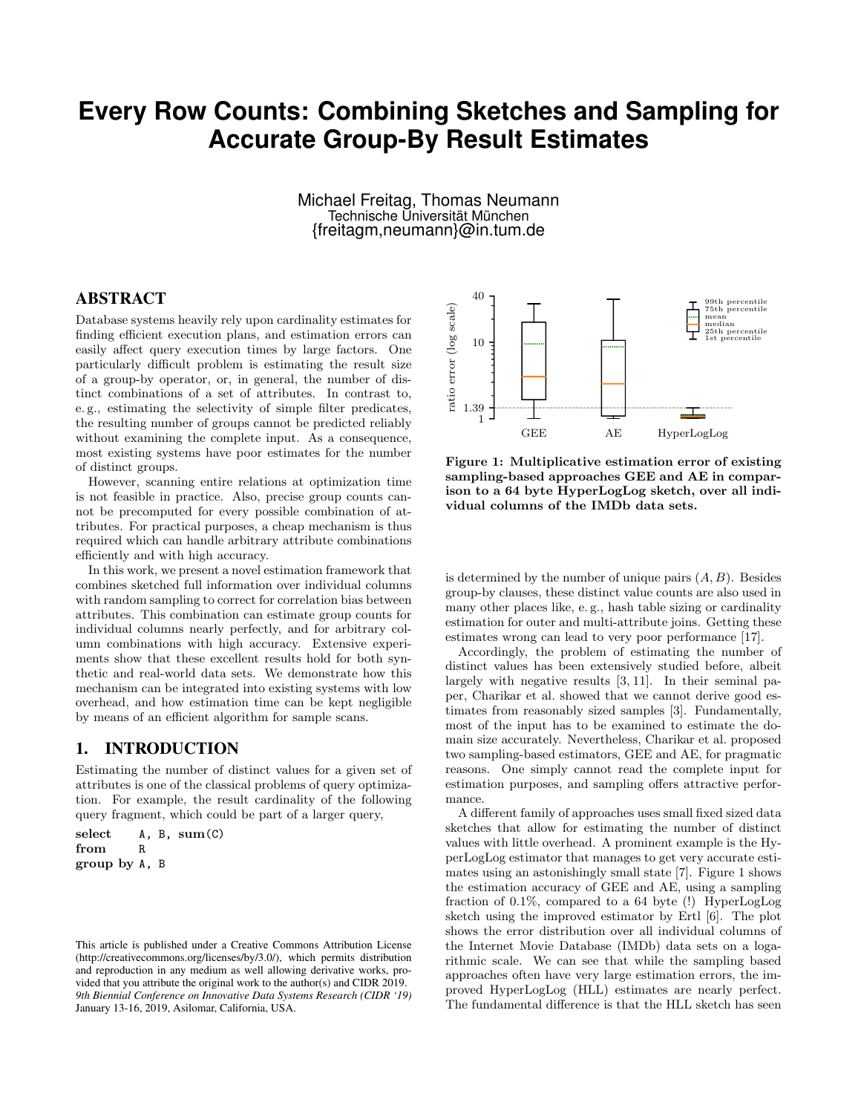# **Every Row Counts: Combining Sketches and Sampling for Accurate Group-By Result Estimates**

Michael Freitag, Thomas Neumann Technische Universität München {freitagm,neumann}@in.tum.de

# ABSTRACT

Database systems heavily rely upon cardinality estimates for finding efficient execution plans, and estimation errors can easily affect query execution times by large factors. One particularly difficult problem is estimating the result size of a group-by operator, or, in general, the number of distinct combinations of a set of attributes. In contrast to, e. g., estimating the selectivity of simple filter predicates, the resulting number of groups cannot be predicted reliably without examining the complete input. As a consequence, most existing systems have poor estimates for the number of distinct groups.

However, scanning entire relations at optimization time is not feasible in practice. Also, precise group counts cannot be precomputed for every possible combination of attributes. For practical purposes, a cheap mechanism is thus required which can handle arbitrary attribute combinations efficiently and with high accuracy.

In this work, we present a novel estimation framework that combines sketched full information over individual columns with random sampling to correct for correlation bias between attributes. This combination can estimate group counts for individual columns nearly perfectly, and for arbitrary column combinations with high accuracy. Extensive experiments show that these excellent results hold for both synthetic and real-world data sets. We demonstrate how this mechanism can be integrated into existing systems with low overhead, and how estimation time can be kept negligible by means of an efficient algorithm for sample scans.

# 1. INTRODUCTION

Estimating the number of distinct values for a given set of attributes is one of the classical problems of query optimization. For example, the result cardinality of the following query fragment, which could be part of a larger query,

select  $A, B, sum(C)$ from R group by A, B



Figure 1: Multiplicative estimation error of existing sampling-based approaches GEE and AE in comparison to a 64 byte HyperLogLog sketch, over all individual columns of the IMDb data sets.

is determined by the number of unique pairs  $(A, B)$ . Besides group-by clauses, these distinct value counts are also used in many other places like, e. g., hash table sizing or cardinality estimation for outer and multi-attribute joins. Getting these estimates wrong can lead to very poor performance [17].

Accordingly, the problem of estimating the number of distinct values has been extensively studied before, albeit largely with negative results [3, 11]. In their seminal paper, Charikar et al. showed that we cannot derive good estimates from reasonably sized samples [3]. Fundamentally, most of the input has to be examined to estimate the domain size accurately. Nevertheless, Charikar et al. proposed two sampling-based estimators, GEE and AE, for pragmatic reasons. One simply cannot read the complete input for estimation purposes, and sampling offers attractive performance.

A different family of approaches uses small fixed sized data sketches that allow for estimating the number of distinct values with little overhead. A prominent example is the HyperLogLog estimator that manages to get very accurate estimates using an astonishingly small state [7]. Figure 1 shows the estimation accuracy of GEE and AE, using a sampling fraction of 0.1%, compared to a 64 byte (!) HyperLogLog sketch using the improved estimator by Ertl [6]. The plot shows the error distribution over all individual columns of the Internet Movie Database (IMDb) data sets on a logarithmic scale. We can see that while the sampling based approaches often have very large estimation errors, the improved HyperLogLog (HLL) estimates are nearly perfect. The fundamental difference is that the HLL sketch has seen

This article is published under a Creative Commons Attribution License (http://creativecommons.org/licenses/by/3.0/), which permits distribution and reproduction in any medium as well allowing derivative works, provided that you attribute the original work to the author(s) and CIDR 2019. *9th Biennial Conference on Innovative Data Systems Research (CIDR '19)* January 13-16, 2019, Asilomar, California, USA.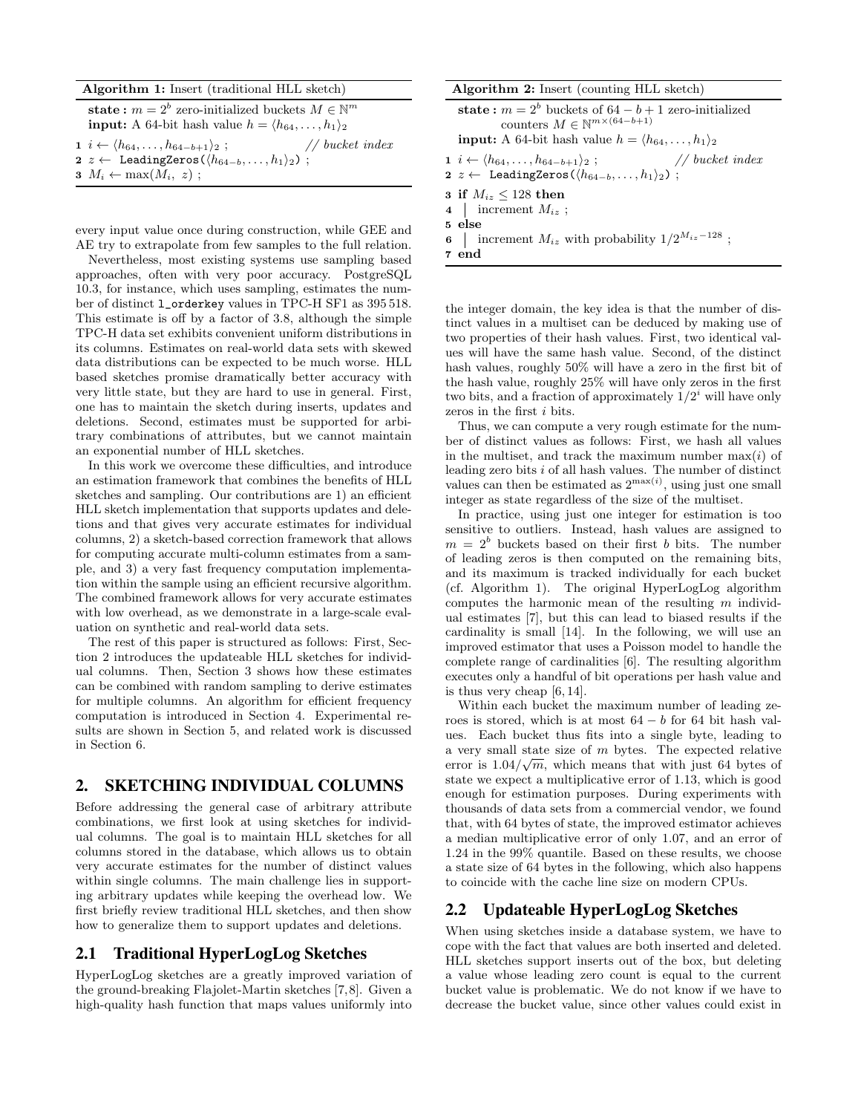#### Algorithm 1: Insert (traditional HLL sketch)

state:  $m = 2^b$  zero-initialized buckets  $M \in \mathbb{N}^m$ **input:** A 64-bit hash value  $h = \langle h_{64}, \ldots, h_1 \rangle_2$ 1  $i \leftarrow \langle h_{64}, \ldots, h_{64-b+1} \rangle_2$ ; // bucket index 2 z ← LeadingZeros( $\langle h_{64-b}, \ldots, h_1 \rangle_2$ )  $3 M_i \leftarrow \max(M_i, z)$ ;

every input value once during construction, while GEE and AE try to extrapolate from few samples to the full relation.

Nevertheless, most existing systems use sampling based approaches, often with very poor accuracy. PostgreSQL 10.3, for instance, which uses sampling, estimates the number of distinct l\_orderkey values in TPC-H SF1 as 395 518. This estimate is off by a factor of 3.8, although the simple TPC-H data set exhibits convenient uniform distributions in its columns. Estimates on real-world data sets with skewed data distributions can be expected to be much worse. HLL based sketches promise dramatically better accuracy with very little state, but they are hard to use in general. First, one has to maintain the sketch during inserts, updates and deletions. Second, estimates must be supported for arbitrary combinations of attributes, but we cannot maintain an exponential number of HLL sketches.

In this work we overcome these difficulties, and introduce an estimation framework that combines the benefits of HLL sketches and sampling. Our contributions are 1) an efficient HLL sketch implementation that supports updates and deletions and that gives very accurate estimates for individual columns, 2) a sketch-based correction framework that allows for computing accurate multi-column estimates from a sample, and 3) a very fast frequency computation implementation within the sample using an efficient recursive algorithm. The combined framework allows for very accurate estimates with low overhead, as we demonstrate in a large-scale evaluation on synthetic and real-world data sets.

The rest of this paper is structured as follows: First, Section 2 introduces the updateable HLL sketches for individual columns. Then, Section 3 shows how these estimates can be combined with random sampling to derive estimates for multiple columns. An algorithm for efficient frequency computation is introduced in Section 4. Experimental results are shown in Section 5, and related work is discussed in Section 6.

# 2. SKETCHING INDIVIDUAL COLUMNS

Before addressing the general case of arbitrary attribute combinations, we first look at using sketches for individual columns. The goal is to maintain HLL sketches for all columns stored in the database, which allows us to obtain very accurate estimates for the number of distinct values within single columns. The main challenge lies in supporting arbitrary updates while keeping the overhead low. We first briefly review traditional HLL sketches, and then show how to generalize them to support updates and deletions.

# 2.1 Traditional HyperLogLog Sketches

HyperLogLog sketches are a greatly improved variation of the ground-breaking Flajolet-Martin sketches [7,8]. Given a high-quality hash function that maps values uniformly into

| Algorithm 2: Insert (counting HLL sketch)                                                                    |                                   |
|--------------------------------------------------------------------------------------------------------------|-----------------------------------|
| state: $m = 2^b$ buckets of $64 - b + 1$ zero-initialized<br>counters $M \in \mathbb{N}^{m \times (64-b+1)}$ |                                   |
| <b>input:</b> A 64-bit hash value $h = \langle h_{64}, \ldots, h_1 \rangle_2$                                |                                   |
| $i \leftarrow (ha_1 \quad ha_1 \quad b_2 \quad b_3 \cdot$                                                    | $\frac{1}{\sqrt{2}}$ bucket index |

| $1 \ i \leftarrow \langle h_{64}, \ldots, h_{64-b+1} \rangle_2;$            | $//$ bucket index |  |
|-----------------------------------------------------------------------------|-------------------|--|
| 2 z $\leftarrow$ LeadingZeros( $\langle h_{64-b}, \ldots, h_1 \rangle_2$ ); |                   |  |

3 if  $M_{iz} \le 128$  then

4 increment  $M_{iz}$ ; 5 else

6 increment  $M_{iz}$  with probability  $1/2^{M_{iz}-128}$ ;

7 end

the integer domain, the key idea is that the number of distinct values in a multiset can be deduced by making use of two properties of their hash values. First, two identical values will have the same hash value. Second, of the distinct hash values, roughly  $50\%$  will have a zero in the first bit of the hash value, roughly 25% will have only zeros in the first two bits, and a fraction of approximately  $1/2^i$  will have only zeros in the first *i* bits.

Thus, we can compute a very rough estimate for the number of distinct values as follows: First, we hash all values in the multiset, and track the maximum number  $\max(i)$  of leading zero bits  $i$  of all hash values. The number of distinct values can then be estimated as  $2^{\max(i)}$ , using just one small integer as state regardless of the size of the multiset.

In practice, using just one integer for estimation is too sensitive to outliers. Instead, hash values are assigned to  $m = 2<sup>b</sup>$  buckets based on their first b bits. The number of leading zeros is then computed on the remaining bits, and its maximum is tracked individually for each bucket (cf. Algorithm 1). The original HyperLogLog algorithm computes the harmonic mean of the resulting  $m$  individual estimates [7], but this can lead to biased results if the cardinality is small [14]. In the following, we will use an improved estimator that uses a Poisson model to handle the complete range of cardinalities [6]. The resulting algorithm executes only a handful of bit operations per hash value and is thus very cheap [6, 14].

Within each bucket the maximum number of leading zeroes is stored, which is at most  $64 - b$  for 64 bit hash values. Each bucket thus fits into a single byte, leading to a very small state size of m bytes. The expected relative error is  $1.04/\sqrt{m}$ , which means that with just 64 bytes of state we expect a multiplicative error of 1.13, which is good enough for estimation purposes. During experiments with thousands of data sets from a commercial vendor, we found that, with 64 bytes of state, the improved estimator achieves a median multiplicative error of only 1.07, and an error of 1.24 in the 99% quantile. Based on these results, we choose a state size of 64 bytes in the following, which also happens to coincide with the cache line size on modern CPUs.

# 2.2 Updateable HyperLogLog Sketches

When using sketches inside a database system, we have to cope with the fact that values are both inserted and deleted. HLL sketches support inserts out of the box, but deleting a value whose leading zero count is equal to the current bucket value is problematic. We do not know if we have to decrease the bucket value, since other values could exist in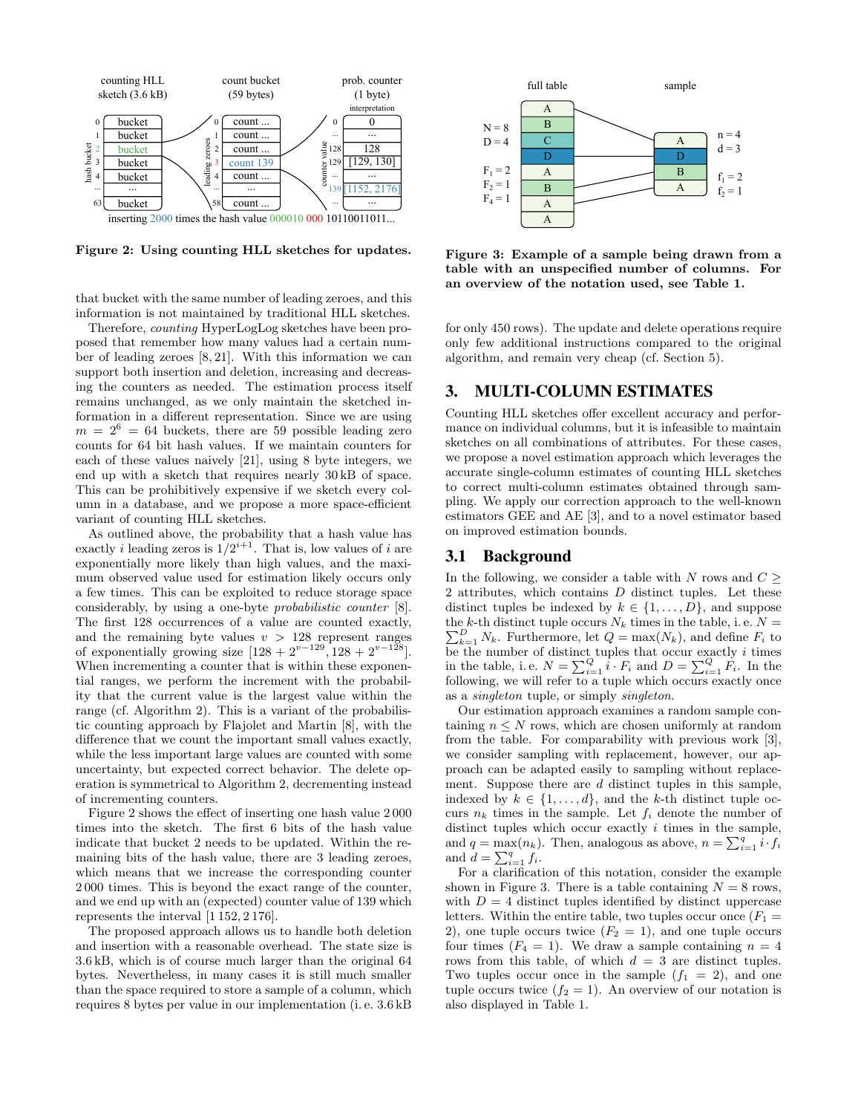

Figure 2: Using counting HLL sketches for updates.

that bucket with the same number of leading zeroes, and this information is not maintained by traditional HLL sketches.

Therefore, counting HyperLogLog sketches have been proposed that remember how many values had a certain number of leading zeroes [8, 21]. With this information we can support both insertion and deletion, increasing and decreasing the counters as needed. The estimation process itself remains unchanged, as we only maintain the sketched information in a different representation. Since we are using  $m = 2^6 = 64$  buckets, there are 59 possible leading zero counts for 64 bit hash values. If we maintain counters for each of these values naively [21], using 8 byte integers, we end up with a sketch that requires nearly 30 kB of space. This can be prohibitively expensive if we sketch every column in a database, and we propose a more space-efficient variant of counting HLL sketches.

As outlined above, the probability that a hash value has exactly *i* leading zeros is  $1/2^{i+1}$ . That is, low values of *i* are exponentially more likely than high values, and the maximum observed value used for estimation likely occurs only a few times. This can be exploited to reduce storage space considerably, by using a one-byte probabilistic counter [8]. The first 128 occurrences of a value are counted exactly, and the remaining byte values  $v > 128$  represent ranges of exponentially growing size  $[128 + 2^{v-129}, 128 + 2^{v-128}]$ . When incrementing a counter that is within these exponential ranges, we perform the increment with the probability that the current value is the largest value within the range (cf. Algorithm 2). This is a variant of the probabilistic counting approach by Flajolet and Martin [8], with the difference that we count the important small values exactly, while the less important large values are counted with some uncertainty, but expected correct behavior. The delete operation is symmetrical to Algorithm 2, decrementing instead of incrementing counters.

Figure 2 shows the effect of inserting one hash value 2 000 times into the sketch. The first 6 bits of the hash value indicate that bucket 2 needs to be updated. Within the remaining bits of the hash value, there are 3 leading zeroes, which means that we increase the corresponding counter 2 000 times. This is beyond the exact range of the counter, and we end up with an (expected) counter value of 139 which represents the interval [1 152, 2 176].

The proposed approach allows us to handle both deletion and insertion with a reasonable overhead. The state size is 3.6 kB, which is of course much larger than the original 64 bytes. Nevertheless, in many cases it is still much smaller than the space required to store a sample of a column, which requires 8 bytes per value in our implementation (i. e. 3.6 kB



Figure 3: Example of a sample being drawn from a table with an unspecified number of columns. For an overview of the notation used, see Table 1.

for only 450 rows). The update and delete operations require only few additional instructions compared to the original algorithm, and remain very cheap (cf. Section 5).

# 3. MULTI-COLUMN ESTIMATES

Counting HLL sketches offer excellent accuracy and performance on individual columns, but it is infeasible to maintain sketches on all combinations of attributes. For these cases, we propose a novel estimation approach which leverages the accurate single-column estimates of counting HLL sketches to correct multi-column estimates obtained through sampling. We apply our correction approach to the well-known estimators GEE and AE [3], and to a novel estimator based on improved estimation bounds.

# 3.1 Background

In the following, we consider a table with N rows and  $C \geq$ 2 attributes, which contains D distinct tuples. Let these distinct tuples be indexed by  $k \in \{1, \ldots, D\}$ , and suppose the k-th distinct tuple occurs  $N_k$  times in the table, i.e.  $N =$  $\sum_{k=1}^{D} N_k$ . Furthermore, let  $Q = \max(N_k)$ , and define  $F_i$  to be the number of distinct tuples that occur exactly  $i$  times in the table, i.e.  $N = \sum_{i=1}^{Q} i \cdot F_i$  and  $D = \sum_{i=1}^{Q} F_i$ . In the following, we will refer to a tuple which occurs exactly once as a singleton tuple, or simply singleton.

Our estimation approach examines a random sample containing  $n \leq N$  rows, which are chosen uniformly at random from the table. For comparability with previous work [3], we consider sampling with replacement, however, our approach can be adapted easily to sampling without replacement. Suppose there are d distinct tuples in this sample, indexed by  $k \in \{1, \ldots, d\}$ , and the k-th distinct tuple occurs  $n_k$  times in the sample. Let  $f_i$  denote the number of distinct tuples which occur exactly  $i$  times in the sample, and  $q = \max(n_k)$ . Then, analogous as above,  $n = \sum_{i=1}^{q} i \cdot f_i$ and  $d = \sum_{i=1}^{q} f_i$ .

For a clarification of this notation, consider the example shown in Figure 3. There is a table containing  $N = 8$  rows, with  $D = 4$  distinct tuples identified by distinct uppercase letters. Within the entire table, two tuples occur once  $(F_1 =$ 2), one tuple occurs twice  $(F_2 = 1)$ , and one tuple occurs four times  $(F_4 = 1)$ . We draw a sample containing  $n = 4$ rows from this table, of which  $d = 3$  are distinct tuples. Two tuples occur once in the sample  $(f_1 = 2)$ , and one tuple occurs twice  $(f_2 = 1)$ . An overview of our notation is also displayed in Table 1.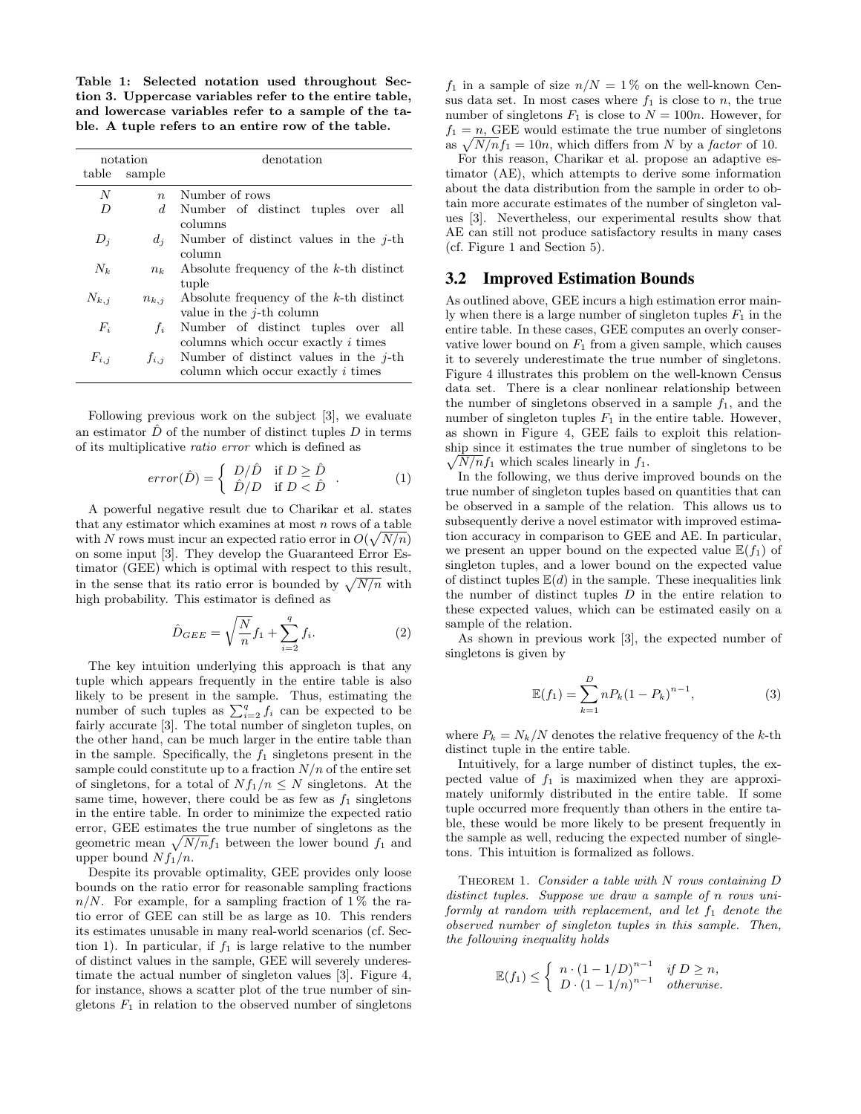Table 1: Selected notation used throughout Section 3. Uppercase variables refer to the entire table, and lowercase variables refer to a sample of the table. A tuple refers to an entire row of the table.

|                | notation         | denotation                                 |
|----------------|------------------|--------------------------------------------|
|                | table sample     |                                            |
| N              | $\boldsymbol{n}$ | Number of rows                             |
| $\overline{D}$ |                  | d Number of distinct tuples over all       |
|                |                  | columns                                    |
| $D_i$          | $d_i$            | Number of distinct values in the $i$ -th   |
|                |                  | column                                     |
| $N_{k}$        | $n_k$            | Absolute frequency of the $k$ -th distinct |
|                |                  | tuple                                      |
| $N_{k,i}$      | $n_{k,i}$        | Absolute frequency of the $k$ -th distinct |
|                |                  | value in the $i$ -th column                |
| $F_i$          | $f_i$            | Number of distinct tuples over all         |
|                |                  | columns which occur exactly <i>i</i> times |
| $F_{i,j}$      | $f_{i,i}$        | Number of distinct values in the $i$ -th   |
|                |                  | column which occur exactly i times         |

Following previous work on the subject [3], we evaluate an estimator  $\hat{D}$  of the number of distinct tuples  $D$  in terms of its multiplicative ratio error which is defined as

$$
error(\hat{D}) = \begin{cases} D/\hat{D} & \text{if } D \ge \hat{D} \\ \hat{D}/D & \text{if } D < \hat{D} \end{cases} . \tag{1}
$$

A powerful negative result due to Charikar et al. states that any estimator which examines at most  $n$  rows of a table with N rows must incur an expected ratio error in  $O(\sqrt{N/n})$ on some input [3]. They develop the Guaranteed Error Estimator (GEE) which is optimal with respect to this result, in the sense that its ratio error is bounded by  $\sqrt{N/n}$  with high probability. This estimator is defined as

$$
\hat{D}_{GEE} = \sqrt{\frac{N}{n}} f_1 + \sum_{i=2}^{q} f_i.
$$
\n(2)

The key intuition underlying this approach is that any tuple which appears frequently in the entire table is also likely to be present in the sample. Thus, estimating the number of such tuples as  $\sum_{i=2}^{q} f_i$  can be expected to be fairly accurate [3]. The total number of singleton tuples, on the other hand, can be much larger in the entire table than in the sample. Specifically, the  $f_1$  singletons present in the sample could constitute up to a fraction  $N/n$  of the entire set of singletons, for a total of  $Nf_1/n \leq N$  singletons. At the same time, however, there could be as few as  $f_1$  singletons in the entire table. In order to minimize the expected ratio error, GEE estimates the true number of singletons as the geometric mean  $\sqrt{N/n}f_1$  between the lower bound  $f_1$  and upper bound  $Nf_1/n$ .

Despite its provable optimality, GEE provides only loose bounds on the ratio error for reasonable sampling fractions  $n/N$ . For example, for a sampling fraction of 1% the ratio error of GEE can still be as large as 10. This renders its estimates unusable in many real-world scenarios (cf. Section 1). In particular, if  $f_1$  is large relative to the number of distinct values in the sample, GEE will severely underestimate the actual number of singleton values [3]. Figure 4, for instance, shows a scatter plot of the true number of singletons  $F_1$  in relation to the observed number of singletons

 $f_1$  in a sample of size  $n/N = 1\%$  on the well-known Census data set. In most cases where  $f_1$  is close to n, the true number of singletons  $F_1$  is close to  $N = 100n$ . However, for  $f_1 = n$ , GEE would estimate the true number of singletons as  $\sqrt{N/n}f_1 = 10n$ , which differs from N by a factor of 10.

For this reason, Charikar et al. propose an adaptive estimator (AE), which attempts to derive some information about the data distribution from the sample in order to obtain more accurate estimates of the number of singleton values [3]. Nevertheless, our experimental results show that AE can still not produce satisfactory results in many cases (cf. Figure 1 and Section 5).

# 3.2 Improved Estimation Bounds

As outlined above, GEE incurs a high estimation error mainly when there is a large number of singleton tuples  $F_1$  in the entire table. In these cases, GEE computes an overly conservative lower bound on  $F_1$  from a given sample, which causes it to severely underestimate the true number of singletons. Figure 4 illustrates this problem on the well-known Census data set. There is a clear nonlinear relationship between the number of singletons observed in a sample  $f_1$ , and the number of singleton tuples  $F_1$  in the entire table. However, as shown in Figure 4, GEE fails to exploit this relationship since it estimates the true number of singletons to be  $\sqrt{N/n}f_1$  which scales linearly in  $f_1$ .

In the following, we thus derive improved bounds on the true number of singleton tuples based on quantities that can be observed in a sample of the relation. This allows us to subsequently derive a novel estimator with improved estimation accuracy in comparison to GEE and AE. In particular, we present an upper bound on the expected value  $E(f_1)$  of singleton tuples, and a lower bound on the expected value of distinct tuples  $\mathbb{E}(d)$  in the sample. These inequalities link the number of distinct tuples  $D$  in the entire relation to these expected values, which can be estimated easily on a sample of the relation.

As shown in previous work [3], the expected number of singletons is given by

$$
\mathbb{E}(f_1) = \sum_{k=1}^{D} n P_k (1 - P_k)^{n-1},\tag{3}
$$

where  $P_k = N_k/N$  denotes the relative frequency of the k-th distinct tuple in the entire table.

Intuitively, for a large number of distinct tuples, the expected value of  $f_1$  is maximized when they are approximately uniformly distributed in the entire table. If some tuple occurred more frequently than others in the entire table, these would be more likely to be present frequently in the sample as well, reducing the expected number of singletons. This intuition is formalized as follows.

THEOREM 1. Consider a table with  $N$  rows containing  $D$ distinct tuples. Suppose we draw a sample of n rows uniformly at random with replacement, and let  $f_1$  denote the observed number of singleton tuples in this sample. Then, the following inequality holds

$$
\mathbb{E}(f_1) \leq \begin{cases} n \cdot (1 - 1/D)^{n-1} & \text{if } D \geq n, \\ D \cdot (1 - 1/n)^{n-1} & \text{otherwise.} \end{cases}
$$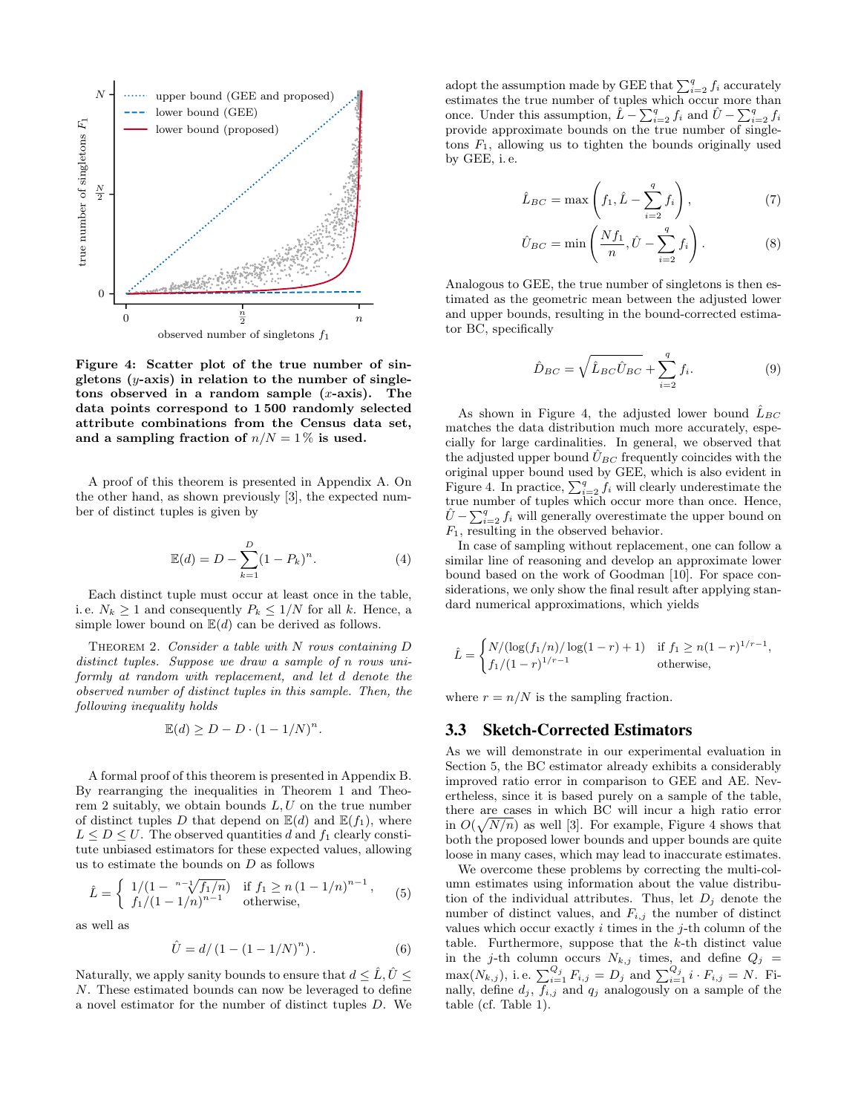

Figure 4: Scatter plot of the true number of singletons  $(y\text{-axis})$  in relation to the number of singletons observed in a random sample  $(x\text{-axis})$ . The data points correspond to 1 500 randomly selected attribute combinations from the Census data set, and a sampling fraction of  $n/N = 1\%$  is used.

A proof of this theorem is presented in Appendix A. On the other hand, as shown previously [3], the expected number of distinct tuples is given by

$$
\mathbb{E}(d) = D - \sum_{k=1}^{D} (1 - P_k)^n.
$$
 (4)

Each distinct tuple must occur at least once in the table, i.e.  $N_k \geq 1$  and consequently  $P_k \leq 1/N$  for all k. Hence, a simple lower bound on  $\mathbb{E}(d)$  can be derived as follows.

THEOREM 2. Consider a table with  $N$  rows containing  $D$ distinct tuples. Suppose we draw a sample of n rows uniformly at random with replacement, and let d denote the observed number of distinct tuples in this sample. Then, the following inequality holds

$$
\mathbb{E}(d) \ge D - D \cdot (1 - 1/N)^n.
$$

A formal proof of this theorem is presented in Appendix B. By rearranging the inequalities in Theorem 1 and Theorem 2 suitably, we obtain bounds  $L, U$  on the true number of distinct tuples D that depend on  $\mathbb{E}(d)$  and  $\mathbb{E}(f_1)$ , where  $L \leq D \leq U$ . The observed quantities d and  $f_1$  clearly constitute unbiased estimators for these expected values, allowing us to estimate the bounds on  $D$  as follows

$$
\hat{L} = \begin{cases}\n1/(1 - \sqrt[n-1]{f_1/n}) & \text{if } f_1 \ge n (1 - 1/n)^{n-1}, \\
f_1/(1 - 1/n)^{n-1} & \text{otherwise,} \n\end{cases} (5)
$$

as well as

$$
\hat{U} = d/(1 - (1 - 1/N)^n). \tag{6}
$$

Naturally, we apply sanity bounds to ensure that  $d \leq \hat{L}, \hat{U} \leq$ N. These estimated bounds can now be leveraged to define a novel estimator for the number of distinct tuples D. We

adopt the assumption made by GEE that  $\sum_{i=2}^{q} f_i$  accurately estimates the true number of tuples which occur more than once. Under this assumption,  $\hat{L} - \sum_{i=2}^{q} f_i$  and  $\hat{U} - \sum_{i=2}^{q} f_i$ provide approximate bounds on the true number of singletons  $F_1$ , allowing us to tighten the bounds originally used by GEE, i. e.

$$
\hat{L}_{BC} = \max\left(f_1, \hat{L} - \sum_{i=2}^{q} f_i\right),\tag{7}
$$

$$
\hat{U}_{BC} = \min\left(\frac{Nf_1}{n}, \hat{U} - \sum_{i=2}^{q} f_i\right). \tag{8}
$$

Analogous to GEE, the true number of singletons is then estimated as the geometric mean between the adjusted lower and upper bounds, resulting in the bound-corrected estimator BC, specifically

$$
\hat{D}_{BC} = \sqrt{\hat{L}_{BC}\hat{U}_{BC}} + \sum_{i=2}^{q} f_i.
$$
\n(9)

As shown in Figure 4, the adjusted lower bound  $L_{BC}$ matches the data distribution much more accurately, especially for large cardinalities. In general, we observed that the adjusted upper bound  $\hat{U}_{BC}$  frequently coincides with the original upper bound used by GEE, which is also evident in Figure 4. In practice,  $\sum_{i=2}^{q} f_i$  will clearly underestimate the true number of tuples which occur more than once. Hence,  $\hat{U} - \sum_{i=2}^{q} f_i$  will generally overestimate the upper bound on  $F_1$ , resulting in the observed behavior.

In case of sampling without replacement, one can follow a similar line of reasoning and develop an approximate lower bound based on the work of Goodman [10]. For space considerations, we only show the final result after applying standard numerical approximations, which yields

$$
\hat{L} = \begin{cases} N/(\log(f_1/n)/\log(1-r) + 1) & \text{if } f_1 \ge n(1-r)^{1/r-1}, \\ f_1/(1-r)^{1/r-1} & \text{otherwise}, \end{cases}
$$

where  $r = n/N$  is the sampling fraction.

# 3.3 Sketch-Corrected Estimators

As we will demonstrate in our experimental evaluation in Section 5, the BC estimator already exhibits a considerably improved ratio error in comparison to GEE and AE. Nevertheless, since it is based purely on a sample of the table, there are cases in which BC will incur a high ratio error in  $O(\sqrt{N/n})$  as well [3]. For example, Figure 4 shows that both the proposed lower bounds and upper bounds are quite loose in many cases, which may lead to inaccurate estimates.

We overcome these problems by correcting the multi-column estimates using information about the value distribution of the individual attributes. Thus, let  $D_j$  denote the number of distinct values, and  $F_{i,j}$  the number of distinct values which occur exactly  $i$  times in the  $j$ -th column of the table. Furthermore, suppose that the  $k$ -th distinct value in the j-th column occurs  $N_{k,j}$  times, and define  $Q_j =$ max $(N_{k,j})$ , i.e.  $\sum_{i=1}^{Q_j} F_{i,j} = D_j$  and  $\sum_{i=1}^{Q_j} i \cdot F_{i,j} = N$ . Finally, define  $d_j$ ,  $f_{i,j}$  and  $q_j$  analogously on a sample of the table (cf. Table 1).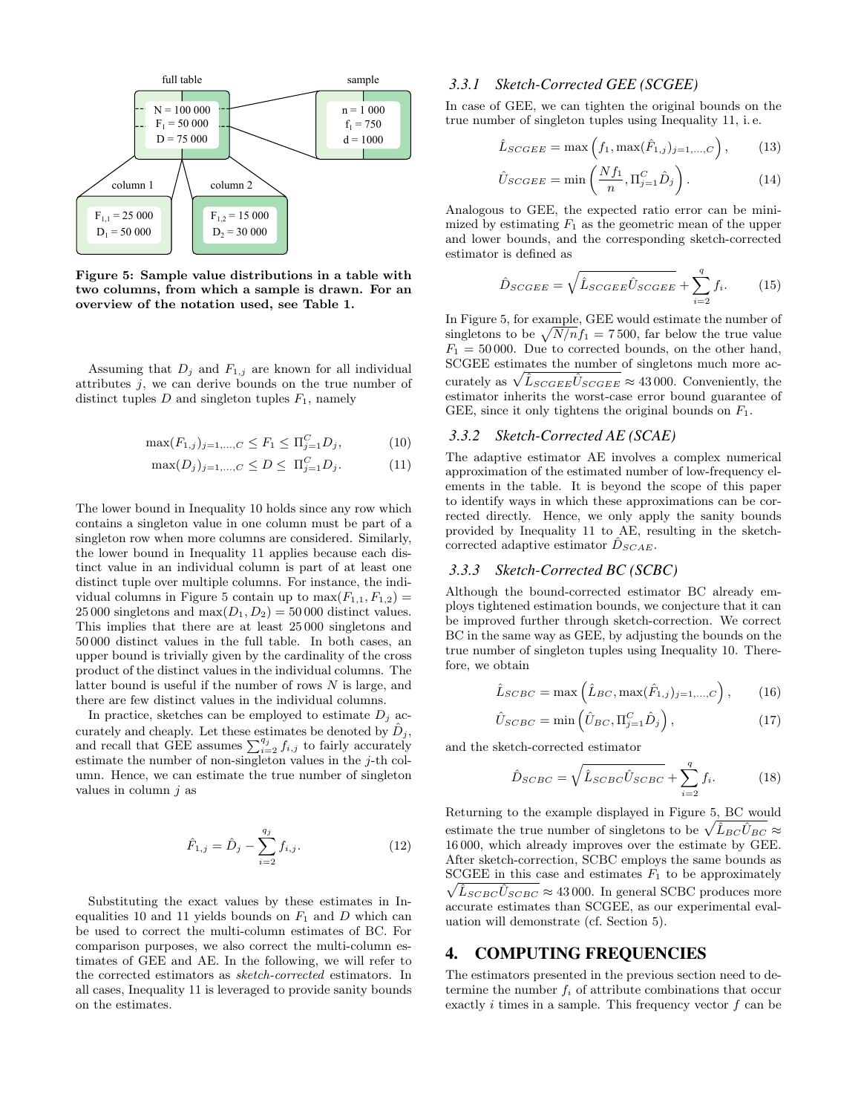

Figure 5: Sample value distributions in a table with two columns, from which a sample is drawn. For an overview of the notation used, see Table 1.

Assuming that  $D_j$  and  $F_{1,j}$  are known for all individual attributes  $j$ , we can derive bounds on the true number of distinct tuples  $D$  and singleton tuples  $F_1$ , namely

$$
\max(F_{1,j})_{j=1,\dots,C} \le F_1 \le \Pi_{j=1}^C D_j,\tag{10}
$$

$$
\max(D_j)_{j=1,\dots,C} \le D \le \Pi_{j=1}^C D_j. \tag{11}
$$

The lower bound in Inequality 10 holds since any row which contains a singleton value in one column must be part of a singleton row when more columns are considered. Similarly, the lower bound in Inequality 11 applies because each distinct value in an individual column is part of at least one distinct tuple over multiple columns. For instance, the individual columns in Figure 5 contain up to  $max(F_{1,1}, F_{1,2}) =$ 25 000 singletons and  $max(D_1, D_2) = 50000$  distinct values. This implies that there are at least 25 000 singletons and 50 000 distinct values in the full table. In both cases, an upper bound is trivially given by the cardinality of the cross product of the distinct values in the individual columns. The latter bound is useful if the number of rows  $N$  is large, and there are few distinct values in the individual columns.

In practice, sketches can be employed to estimate  $D_j$  accurately and cheaply. Let these estimates be denoted by  $\ddot{D}_i$ , and recall that GEE assumes  $\sum_{i=2}^{q_j} f_{i,j}$  to fairly accurately estimate the number of non-singleton values in the  $i$ -th column. Hence, we can estimate the true number of singleton values in column  $j$  as

$$
\hat{F}_{1,j} = \hat{D}_j - \sum_{i=2}^{q_j} f_{i,j}.
$$
\n(12)

Substituting the exact values by these estimates in Inequalities 10 and 11 yields bounds on  $F_1$  and D which can be used to correct the multi-column estimates of BC. For comparison purposes, we also correct the multi-column estimates of GEE and AE. In the following, we will refer to the corrected estimators as sketch-corrected estimators. In all cases, Inequality 11 is leveraged to provide sanity bounds on the estimates.

#### *3.3.1 Sketch-Corrected GEE (SCGEE)*

In case of GEE, we can tighten the original bounds on the true number of singleton tuples using Inequality 11, i. e.

$$
\hat{L}_{SCGEE} = \max\left(f_1, \max(\hat{F}_{1,j})_{j=1,\dots,C}\right),\tag{13}
$$

$$
\hat{U}_{SCGEE} = \min\left(\frac{Nf_1}{n}, \Pi_{j=1}^C \hat{D}_j\right). \tag{14}
$$

Analogous to GEE, the expected ratio error can be minimized by estimating  $F_1$  as the geometric mean of the upper and lower bounds, and the corresponding sketch-corrected estimator is defined as

$$
\hat{D}_{SCGEE} = \sqrt{\hat{L}_{SCGEE}\hat{U}_{SCGEE}} + \sum_{i=2}^{q} f_i.
$$
 (15)

In Figure 5, for example, GEE would estimate the number of singletons to be  $\sqrt{N/n}f_1 = 7500$ , far below the true value  $F_1 = 50000$ . Due to corrected bounds, on the other hand, SCGEE estimates the number of singletons much more accurately as  $\sqrt{\hat{L}_{SCGEE}\hat{U}_{SCGEE}} \approx 43\,000$ . Conveniently, the estimator inherits the worst-case error bound guarantee of GEE, since it only tightens the original bounds on  $F_1$ .

#### *3.3.2 Sketch-Corrected AE (SCAE)*

The adaptive estimator AE involves a complex numerical approximation of the estimated number of low-frequency elements in the table. It is beyond the scope of this paper to identify ways in which these approximations can be corrected directly. Hence, we only apply the sanity bounds provided by Inequality 11 to AE, resulting in the sketchcorrected adaptive estimator  $\ddot{D}_{SCAE}$ .

## *3.3.3 Sketch-Corrected BC (SCBC)*

Although the bound-corrected estimator BC already employs tightened estimation bounds, we conjecture that it can be improved further through sketch-correction. We correct BC in the same way as GEE, by adjusting the bounds on the true number of singleton tuples using Inequality 10. Therefore, we obtain

$$
\hat{L}_{SCBC} = \max\left(\hat{L}_{BC}, \max(\hat{F}_{1,j})_{j=1,...,C}\right),\qquad(16)
$$

$$
\hat{U}_{SCBC} = \min\left(\hat{U}_{BC}, \Pi_{j=1}^{C} \hat{D}_j\right),\tag{17}
$$

and the sketch-corrected estimator

$$
\hat{D}_{SCBC} = \sqrt{\hat{L}_{SCBC}\hat{U}_{SCBC}} + \sum_{i=2}^{q} f_i.
$$
 (18)

Returning to the example displayed in Figure 5, BC would estimate the true number of singletons to be  $\sqrt{\hat{L}_{BC}\hat{U}_{BC}} \approx$ 16 000, which already improves over the estimate by GEE. After sketch-correction, SCBC employs the same bounds as SCGEE in this case and estimates  $F_1$  to be approximately  $\sqrt{\hat{L}_{SCBC}\hat{U}_{SCBC}} \approx 43\,000$ . In general SCBC produces more accurate estimates than SCGEE, as our experimental evaluation will demonstrate (cf. Section 5).

## 4. COMPUTING FREQUENCIES

The estimators presented in the previous section need to determine the number  $f_i$  of attribute combinations that occur exactly  $i$  times in a sample. This frequency vector  $f$  can be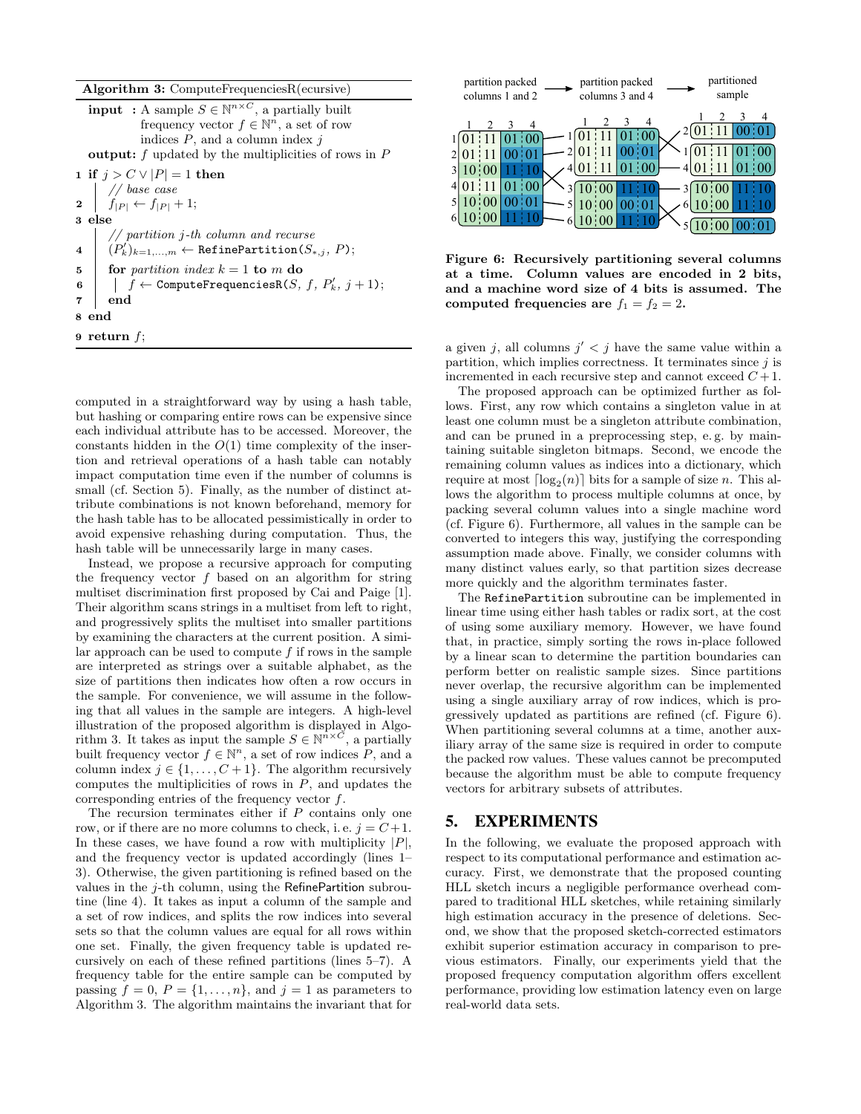#### Algorithm 3: ComputeFrequenciesR(ecursive)

**input** : A sample  $S \in \mathbb{N}^{n \times C}$ , a partially built frequency vector  $f \in \mathbb{N}^n$ , a set of row indices  $P$ , and a column index  $j$ output:  $f$  updated by the multiplicities of rows in  $P$ 1 if  $j > C \vee |P| = 1$  then // base case 2  $| f_{|P|} \leftarrow f_{|P|} + 1;$ 3 else // partition j-th column and recurse  $\begin{array}{c} \mathbf{4} \end{array} \big\vert \quad (P'_k)_{k=1,...,m} \leftarrow {\tt RefinePartition}(S_{*,j}, \, P); \ \end{array}$ 5 for partition index  $k = 1$  to m do  $\begin{array}{ll} \texttt{6} & | & f \leftarrow \texttt{ComputeFrequencyiesR}(S,\,f,\,P'_k,\,j+1); \end{array}$ 7 end 8 end 9 return  $f$ ;

computed in a straightforward way by using a hash table, but hashing or comparing entire rows can be expensive since each individual attribute has to be accessed. Moreover, the constants hidden in the  $O(1)$  time complexity of the insertion and retrieval operations of a hash table can notably impact computation time even if the number of columns is small (cf. Section 5). Finally, as the number of distinct attribute combinations is not known beforehand, memory for the hash table has to be allocated pessimistically in order to avoid expensive rehashing during computation. Thus, the hash table will be unnecessarily large in many cases.

Instead, we propose a recursive approach for computing the frequency vector  $f$  based on an algorithm for string multiset discrimination first proposed by Cai and Paige [1]. Their algorithm scans strings in a multiset from left to right, and progressively splits the multiset into smaller partitions by examining the characters at the current position. A similar approach can be used to compute  $f$  if rows in the sample are interpreted as strings over a suitable alphabet, as the size of partitions then indicates how often a row occurs in the sample. For convenience, we will assume in the following that all values in the sample are integers. A high-level illustration of the proposed algorithm is displayed in Algorithm 3. It takes as input the sample  $S \in \mathbb{N}^n \times \mathbb{C}$ , a partially built frequency vector  $f \in \mathbb{N}^n$ , a set of row indices  $P$ , and a column index  $j \in \{1, \ldots, C+1\}$ . The algorithm recursively computes the multiplicities of rows in  $P$ , and updates the corresponding entries of the frequency vector f.

The recursion terminates either if P contains only one row, or if there are no more columns to check, i.e.  $j = C + 1$ . In these cases, we have found a row with multiplicity  $|P|$ , and the frequency vector is updated accordingly (lines 1– 3). Otherwise, the given partitioning is refined based on the values in the  $j$ -th column, using the RefinePartition subroutine (line 4). It takes as input a column of the sample and a set of row indices, and splits the row indices into several sets so that the column values are equal for all rows within one set. Finally, the given frequency table is updated recursively on each of these refined partitions (lines 5–7). A frequency table for the entire sample can be computed by passing  $f = 0$ ,  $P = \{1, \ldots, n\}$ , and  $j = 1$  as parameters to Algorithm 3. The algorithm maintains the invariant that for



Figure 6: Recursively partitioning several columns at a time. Column values are encoded in 2 bits, and a machine word size of 4 bits is assumed. The computed frequencies are  $f_1 = f_2 = 2$ .

a given j, all columns  $j' < j$  have the same value within a partition, which implies correctness. It terminates since  $j$  is incremented in each recursive step and cannot exceed  $C + 1$ .

The proposed approach can be optimized further as follows. First, any row which contains a singleton value in at least one column must be a singleton attribute combination, and can be pruned in a preprocessing step, e. g. by maintaining suitable singleton bitmaps. Second, we encode the remaining column values as indices into a dictionary, which require at most  $\lceil \log_2(n) \rceil$  bits for a sample of size n. This allows the algorithm to process multiple columns at once, by packing several column values into a single machine word (cf. Figure 6). Furthermore, all values in the sample can be converted to integers this way, justifying the corresponding assumption made above. Finally, we consider columns with many distinct values early, so that partition sizes decrease more quickly and the algorithm terminates faster.

The RefinePartition subroutine can be implemented in linear time using either hash tables or radix sort, at the cost of using some auxiliary memory. However, we have found that, in practice, simply sorting the rows in-place followed by a linear scan to determine the partition boundaries can perform better on realistic sample sizes. Since partitions never overlap, the recursive algorithm can be implemented using a single auxiliary array of row indices, which is progressively updated as partitions are refined (cf. Figure 6). When partitioning several columns at a time, another auxiliary array of the same size is required in order to compute the packed row values. These values cannot be precomputed because the algorithm must be able to compute frequency vectors for arbitrary subsets of attributes.

# 5. EXPERIMENTS

In the following, we evaluate the proposed approach with respect to its computational performance and estimation accuracy. First, we demonstrate that the proposed counting HLL sketch incurs a negligible performance overhead compared to traditional HLL sketches, while retaining similarly high estimation accuracy in the presence of deletions. Second, we show that the proposed sketch-corrected estimators exhibit superior estimation accuracy in comparison to previous estimators. Finally, our experiments yield that the proposed frequency computation algorithm offers excellent performance, providing low estimation latency even on large real-world data sets.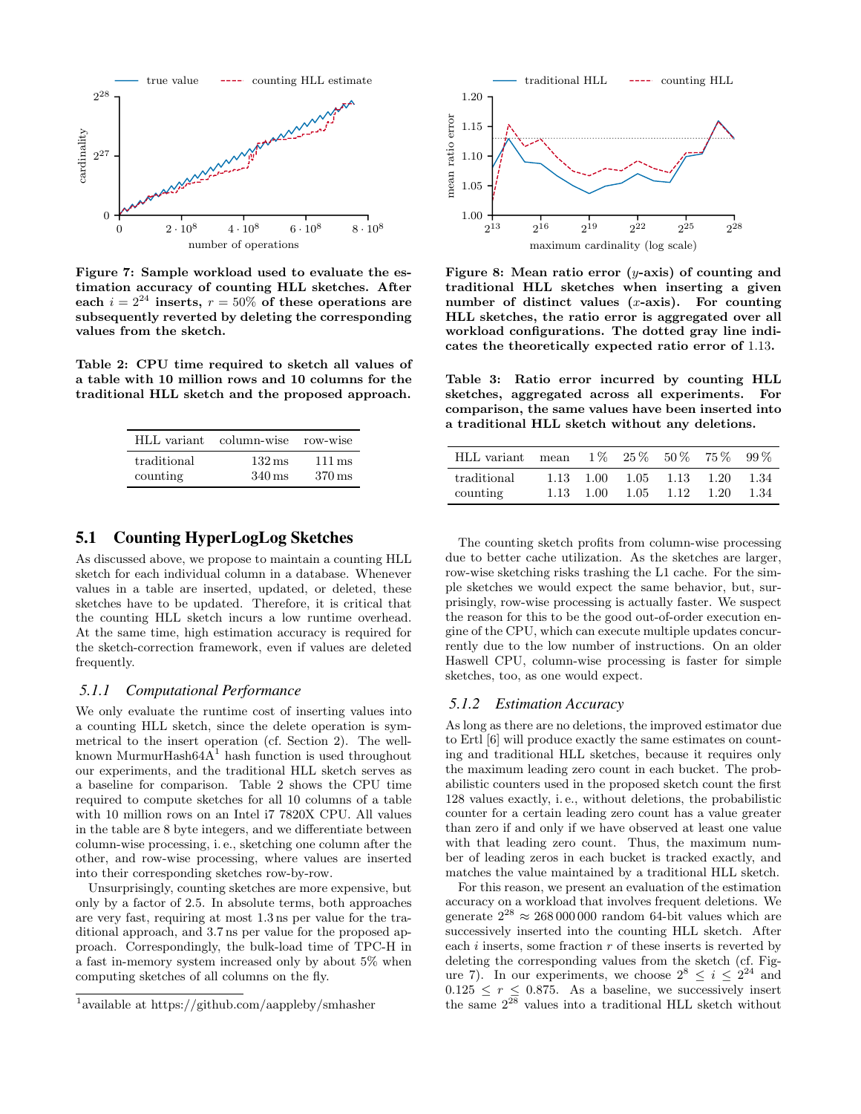

Figure 7: Sample workload used to evaluate the estimation accuracy of counting HLL sketches. After each  $i = 2^{24}$  inserts,  $r = 50\%$  of these operations are subsequently reverted by deleting the corresponding values from the sketch.

Table 2: CPU time required to sketch all values of a table with 10 million rows and 10 columns for the traditional HLL sketch and the proposed approach.

|             | HLL variant column-wise row-wise |                     |
|-------------|----------------------------------|---------------------|
| traditional | $132 \,\mathrm{ms}$              | $111 \,\mathrm{ms}$ |
| counting    | $340 \,\mathrm{ms}$              | $370 \,\mathrm{ms}$ |

# 5.1 Counting HyperLogLog Sketches

As discussed above, we propose to maintain a counting HLL sketch for each individual column in a database. Whenever values in a table are inserted, updated, or deleted, these sketches have to be updated. Therefore, it is critical that the counting HLL sketch incurs a low runtime overhead. At the same time, high estimation accuracy is required for the sketch-correction framework, even if values are deleted frequently.

#### *5.1.1 Computational Performance*

We only evaluate the runtime cost of inserting values into a counting HLL sketch, since the delete operation is symmetrical to the insert operation (cf. Section 2). The wellknown MurmurHash $64A<sup>1</sup>$  hash function is used throughout our experiments, and the traditional HLL sketch serves as a baseline for comparison. Table 2 shows the CPU time required to compute sketches for all 10 columns of a table with 10 million rows on an Intel i7 7820X CPU. All values in the table are 8 byte integers, and we differentiate between column-wise processing, i. e., sketching one column after the other, and row-wise processing, where values are inserted into their corresponding sketches row-by-row.

Unsurprisingly, counting sketches are more expensive, but only by a factor of 2.5. In absolute terms, both approaches are very fast, requiring at most 1.3 ns per value for the traditional approach, and 3.7 ns per value for the proposed approach. Correspondingly, the bulk-load time of TPC-H in a fast in-memory system increased only by about 5% when computing sketches of all columns on the fly.



Figure 8: Mean ratio error  $(y\text{-axis})$  of counting and traditional HLL sketches when inserting a given number of distinct values  $(x\text{-axis})$ . For counting HLL sketches, the ratio error is aggregated over all workload configurations. The dotted gray line indicates the theoretically expected ratio error of 1.13.

Table 3: Ratio error incurred by counting HLL sketches, aggregated across all experiments. For comparison, the same values have been inserted into a traditional HLL sketch without any deletions.

| HLL variant mean $1\%$ $25\%$ $50\%$ $75\%$ |      |                           |      |                   |                 | $99\%$       |
|---------------------------------------------|------|---------------------------|------|-------------------|-----------------|--------------|
| traditional<br>counting                     | 1.13 | $1.13 \quad 1.00$<br>1.00 | 1.05 | 1.05 1.13<br>1.12 | -1.20<br>- 1.20 | 1.34<br>1.34 |

The counting sketch profits from column-wise processing due to better cache utilization. As the sketches are larger, row-wise sketching risks trashing the L1 cache. For the simple sketches we would expect the same behavior, but, surprisingly, row-wise processing is actually faster. We suspect the reason for this to be the good out-of-order execution engine of the CPU, which can execute multiple updates concurrently due to the low number of instructions. On an older Haswell CPU, column-wise processing is faster for simple sketches, too, as one would expect.

#### *5.1.2 Estimation Accuracy*

As long as there are no deletions, the improved estimator due to Ertl [6] will produce exactly the same estimates on counting and traditional HLL sketches, because it requires only the maximum leading zero count in each bucket. The probabilistic counters used in the proposed sketch count the first 128 values exactly, i. e., without deletions, the probabilistic counter for a certain leading zero count has a value greater than zero if and only if we have observed at least one value with that leading zero count. Thus, the maximum number of leading zeros in each bucket is tracked exactly, and matches the value maintained by a traditional HLL sketch.

For this reason, we present an evaluation of the estimation accuracy on a workload that involves frequent deletions. We generate  $2^{28} \approx 268000000$  random 64-bit values which are successively inserted into the counting HLL sketch. After each  $i$  inserts, some fraction  $r$  of these inserts is reverted by deleting the corresponding values from the sketch (cf. Figure 7). In our experiments, we choose  $2^8 \leq i \leq 2^{24}$  and  $0.125 \leq r \leq 0.875$ . As a baseline, we successively insert the same  $2^{28}$  values into a traditional HLL sketch without

<sup>1</sup> available at https://github.com/aappleby/smhasher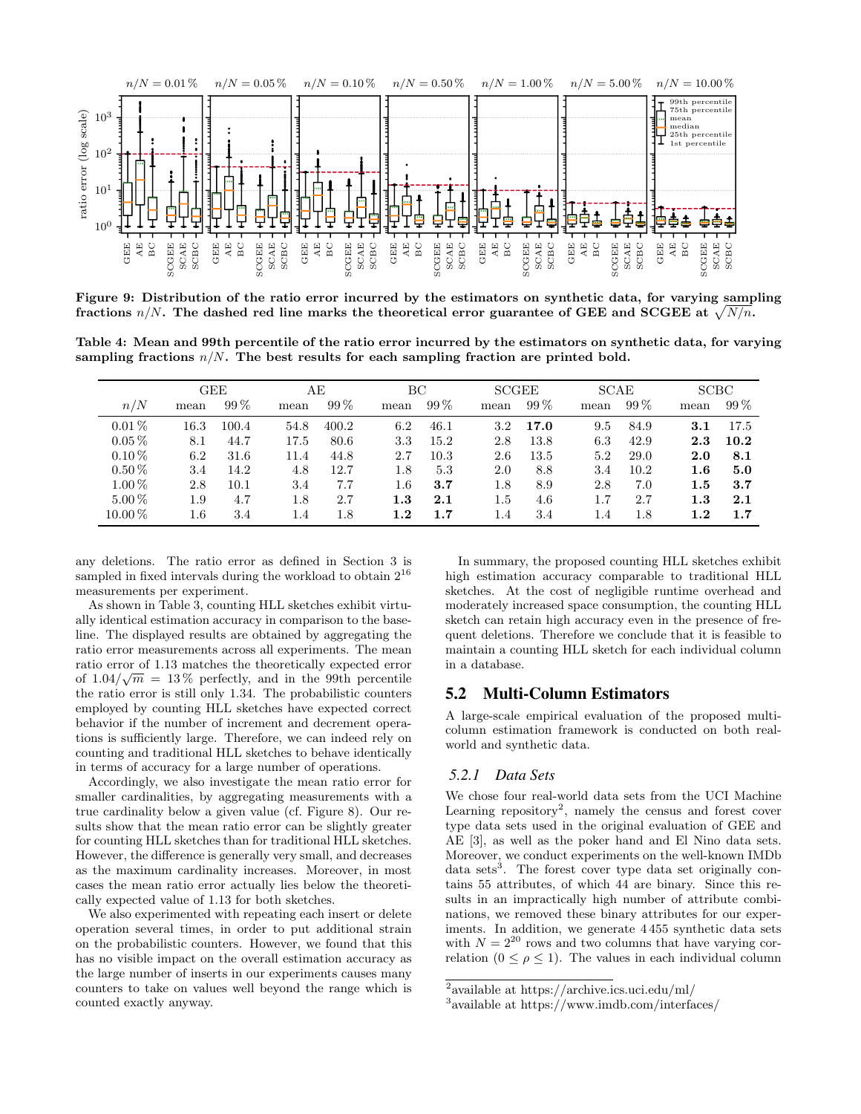

Figure 9: Distribution of the ratio error incurred by the estimators on synthetic data, for varying sampling fractions  $n/N$ . The dashed red line marks the theoretical error guarantee of GEE and SCGEE at  $\sqrt{N/n}$ .

Table 4: Mean and 99th percentile of the ratio error incurred by the estimators on synthetic data, for varying sampling fractions  $n/N$ . The best results for each sampling fraction are printed bold.

|           |         | GEE    |      | AЕ     | ВC      |         |         | <b>SCGEE</b> | <b>SCAE</b> |        | <b>SCBC</b> |        |
|-----------|---------|--------|------|--------|---------|---------|---------|--------------|-------------|--------|-------------|--------|
| n/N       | mean    | $99\%$ | mean | $99\%$ | mean    | $99\%$  | mean    | $99\%$       | mean        | $99\%$ | mean        | $99\%$ |
| $0.01\%$  | 16.3    | 100.4  | 54.8 | 400.2  | 6.2     | 46.1    | $3.2\,$ | 17.0         | 9.5         | 84.9   | 3.1         | 17.5   |
| $0.05\%$  | 8.1     | 44.7   | 17.5 | 80.6   | 3.3     | 15.2    | 2.8     | 13.8         | 6.3         | 42.9   | 2.3         | 10.2   |
| $0.10\%$  | 6.2     | 31.6   | 11.4 | 44.8   | 2.7     | 10.3    | 2.6     | 13.5         | 5.2         | 29.0   | 2.0         | 8.1    |
| $0.50\%$  | 3.4     | 14.2   | 4.8  | 12.7   | 1.8     | 5.3     | 2.0     | 8.8          | 3.4         | 10.2   | $1.6\,$     | 5.0    |
| $1.00\%$  | 2.8     | 10.1   | 3.4  | 7.7    | 1.6     | 3.7     | 1.8     | 8.9          | 2.8         | 7.0    | $1.5\,$     | 3.7    |
| $5.00\%$  | 1.9     | 4.7    | 1.8  | 2.7    | 1.3     | 2.1     | 1.5     | 4.6          | 1.7         | 2.7    | 1.3         | 2.1    |
| $10.00\%$ | $1.6\,$ | 3.4    | 1.4  | 1.8    | $1.2\,$ | $1.7\,$ | 1.4     | 3.4          | 1.4         | 1.8    | 1.2         | 1.7    |

any deletions. The ratio error as defined in Section 3 is sampled in fixed intervals during the workload to obtain  $2^{16}$ measurements per experiment.

As shown in Table 3, counting HLL sketches exhibit virtually identical estimation accuracy in comparison to the baseline. The displayed results are obtained by aggregating the ratio error measurements across all experiments. The mean ratio error of 1.13 matches the theoretically expected error of  $1.04/\sqrt{m} = 13\%$  perfectly, and in the 99th percentile the ratio error is still only 1.34. The probabilistic counters employed by counting HLL sketches have expected correct behavior if the number of increment and decrement operations is sufficiently large. Therefore, we can indeed rely on counting and traditional HLL sketches to behave identically in terms of accuracy for a large number of operations.

Accordingly, we also investigate the mean ratio error for smaller cardinalities, by aggregating measurements with a true cardinality below a given value (cf. Figure 8). Our results show that the mean ratio error can be slightly greater for counting HLL sketches than for traditional HLL sketches. However, the difference is generally very small, and decreases as the maximum cardinality increases. Moreover, in most cases the mean ratio error actually lies below the theoretically expected value of 1.13 for both sketches.

We also experimented with repeating each insert or delete operation several times, in order to put additional strain on the probabilistic counters. However, we found that this has no visible impact on the overall estimation accuracy as the large number of inserts in our experiments causes many counters to take on values well beyond the range which is counted exactly anyway.

In summary, the proposed counting HLL sketches exhibit high estimation accuracy comparable to traditional HLL sketches. At the cost of negligible runtime overhead and moderately increased space consumption, the counting HLL sketch can retain high accuracy even in the presence of frequent deletions. Therefore we conclude that it is feasible to maintain a counting HLL sketch for each individual column in a database.

# 5.2 Multi-Column Estimators

A large-scale empirical evaluation of the proposed multicolumn estimation framework is conducted on both realworld and synthetic data.

#### *5.2.1 Data Sets*

We chose four real-world data sets from the UCI Machine Learning repository<sup>2</sup>, namely the census and forest cover type data sets used in the original evaluation of GEE and AE [3], as well as the poker hand and El Nino data sets. Moreover, we conduct experiments on the well-known IMDb data sets<sup>3</sup>. The forest cover type data set originally contains 55 attributes, of which 44 are binary. Since this results in an impractically high number of attribute combinations, we removed these binary attributes for our experiments. In addition, we generate 4 455 synthetic data sets with  $N = 2^{20}$  rows and two columns that have varying correlation  $(0 \le \rho \le 1)$ . The values in each individual column

<sup>&</sup>lt;sup>2</sup> available at https://archive.ics.uci.edu/ml/

<sup>3</sup> available at https://www.imdb.com/interfaces/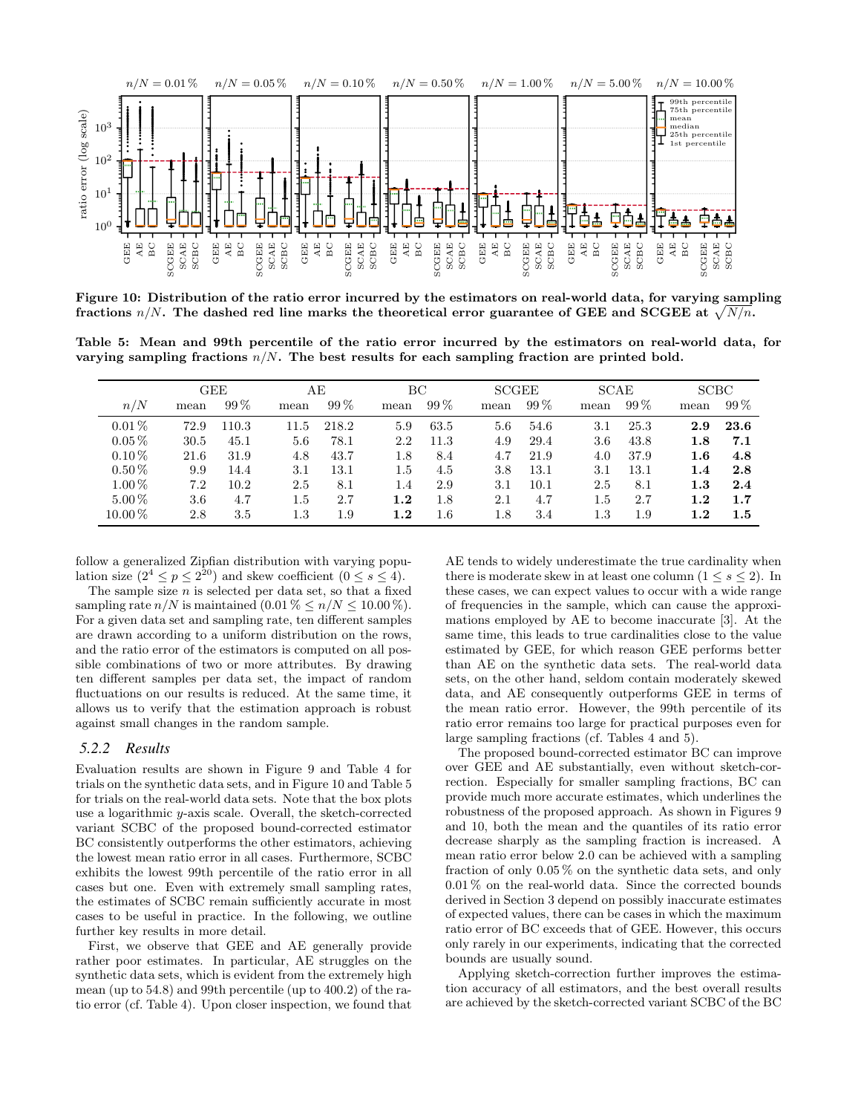

Figure 10: Distribution of the ratio error incurred by the estimators on real-world data, for varying sampling fractions  $n/N$ . The dashed red line marks the theoretical error guarantee of GEE and SCGEE at  $\sqrt{N/n}$ .

Table 5: Mean and 99th percentile of the ratio error incurred by the estimators on real-world data, for varying sampling fractions  $n/N$ . The best results for each sampling fraction are printed bold.

|            |      | <b>GEE</b> |         | AЕ     | ВC      |         | <b>SCGEE</b> |        | <b>SCAE</b> |        | <b>SCBC</b> |         |
|------------|------|------------|---------|--------|---------|---------|--------------|--------|-------------|--------|-------------|---------|
| n/N        | mean | $99\%$     | mean    | $99\%$ | mean    | $99\%$  | mean         | $99\%$ | mean        | $99\%$ | mean        | $99\%$  |
| $0.01\%$   | 72.9 | .10.3      | 11.5    | 218.2  | 5.9     | 63.5    | 5.6          | 54.6   | 3.1         | 25.3   | 2.9         | 23.6    |
| $0.05\%$   | 30.5 | 45.1       | 5.6     | 78.1   | 2.2     | 11.3    | 4.9          | 29.4   | 3.6         | 43.8   | $1.8\,$     | 7.1     |
| $0.10\%$   | 21.6 | 31.9       | 4.8     | 43.7   | 1.8     | 8.4     | 4.7          | 21.9   | 4.0         | 37.9   | $1.6\,$     | 4.8     |
| $0.50\,\%$ | 9.9  | 14.4       | 3.1     | 13.1   | 1.5     | 4.5     | 3.8          | 13.1   | 3.1         | 13.1   | 1.4         | 2.8     |
| $1.00\%$   | 7.2  | 10.2       | 2.5     | 8.1    | 1.4     | 2.9     | 3.1          | 10.1   | 2.5         | 8.1    | 1.3         | 2.4     |
| $5.00\%$   | 3.6  | 4.7        | $1.5\,$ | 2.7    | 1.2     | 1.8     | 2.1          | 4.7    | 1.5         | 2.7    | 1.2         | 1.7     |
| $10.00\%$  | 2.8  | 3.5        | $1.3\,$ | 1.9    | $1.2\,$ | $1.6\,$ | 1.8          | 3.4    | 1.3         | 1.9    | $1.2\,$     | $1.5\,$ |

follow a generalized Zipfian distribution with varying population size  $(2^4 \le p \le 2^{20})$  and skew coefficient  $(0 \le s \le 4)$ .

The sample size  $n$  is selected per data set, so that a fixed sampling rate  $n/N$  is maintained  $(0.01\% \leq n/N \leq 10.00\%).$ For a given data set and sampling rate, ten different samples are drawn according to a uniform distribution on the rows, and the ratio error of the estimators is computed on all possible combinations of two or more attributes. By drawing ten different samples per data set, the impact of random fluctuations on our results is reduced. At the same time, it allows us to verify that the estimation approach is robust against small changes in the random sample.

#### *5.2.2 Results*

Evaluation results are shown in Figure 9 and Table 4 for trials on the synthetic data sets, and in Figure 10 and Table 5 for trials on the real-world data sets. Note that the box plots use a logarithmic y-axis scale. Overall, the sketch-corrected variant SCBC of the proposed bound-corrected estimator BC consistently outperforms the other estimators, achieving the lowest mean ratio error in all cases. Furthermore, SCBC exhibits the lowest 99th percentile of the ratio error in all cases but one. Even with extremely small sampling rates, the estimates of SCBC remain sufficiently accurate in most cases to be useful in practice. In the following, we outline further key results in more detail.

First, we observe that GEE and AE generally provide rather poor estimates. In particular, AE struggles on the synthetic data sets, which is evident from the extremely high mean (up to 54.8) and 99th percentile (up to 400.2) of the ratio error (cf. Table 4). Upon closer inspection, we found that AE tends to widely underestimate the true cardinality when there is moderate skew in at least one column  $(1 \leq s \leq 2)$ . In these cases, we can expect values to occur with a wide range of frequencies in the sample, which can cause the approximations employed by AE to become inaccurate [3]. At the same time, this leads to true cardinalities close to the value estimated by GEE, for which reason GEE performs better than AE on the synthetic data sets. The real-world data sets, on the other hand, seldom contain moderately skewed data, and AE consequently outperforms GEE in terms of the mean ratio error. However, the 99th percentile of its ratio error remains too large for practical purposes even for large sampling fractions (cf. Tables 4 and 5).

The proposed bound-corrected estimator BC can improve over GEE and AE substantially, even without sketch-correction. Especially for smaller sampling fractions, BC can provide much more accurate estimates, which underlines the robustness of the proposed approach. As shown in Figures 9 and 10, both the mean and the quantiles of its ratio error decrease sharply as the sampling fraction is increased. A mean ratio error below 2.0 can be achieved with a sampling fraction of only 0.05 % on the synthetic data sets, and only 0.01 % on the real-world data. Since the corrected bounds derived in Section 3 depend on possibly inaccurate estimates of expected values, there can be cases in which the maximum ratio error of BC exceeds that of GEE. However, this occurs only rarely in our experiments, indicating that the corrected bounds are usually sound.

Applying sketch-correction further improves the estimation accuracy of all estimators, and the best overall results are achieved by the sketch-corrected variant SCBC of the BC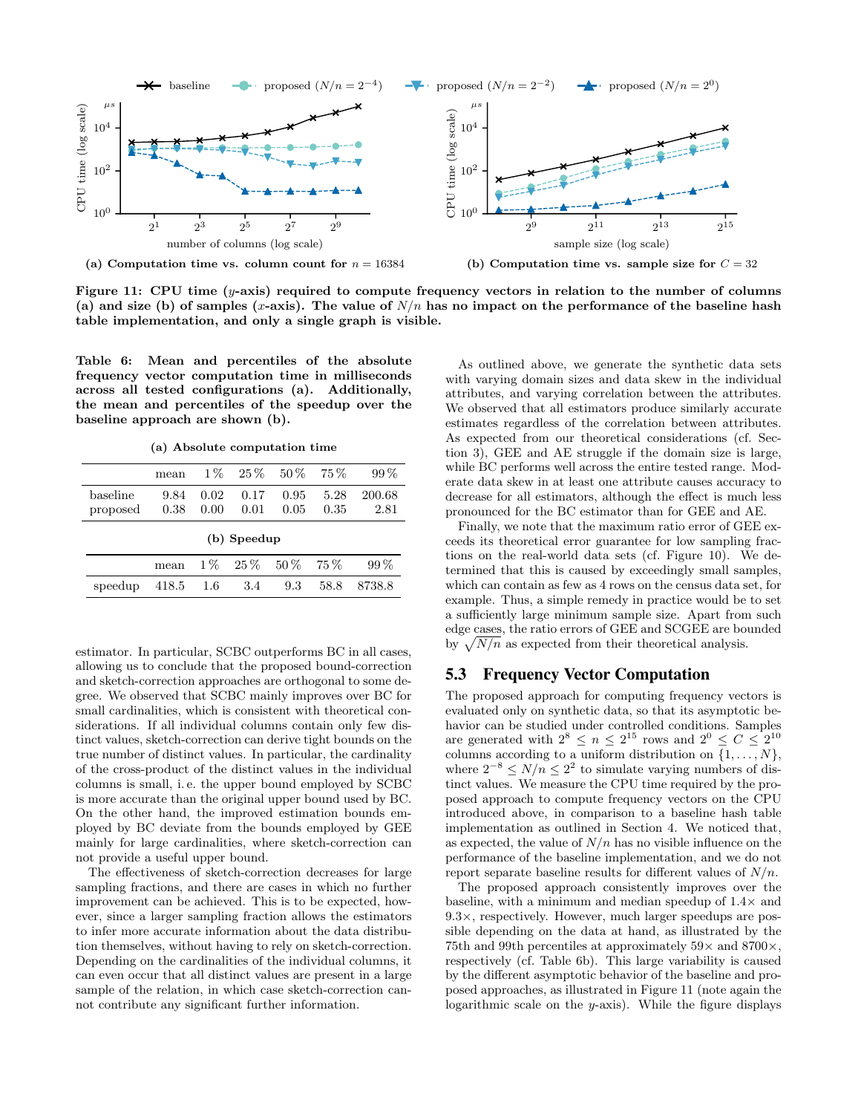

Figure 11: CPU time  $(y\text{-axis})$  required to compute frequency vectors in relation to the number of columns (a) and size (b) of samples (x-axis). The value of  $N/n$  has no impact on the performance of the baseline hash table implementation, and only a single graph is visible.

Table 6: Mean and percentiles of the absolute frequency vector computation time in milliseconds across all tested configurations (a). Additionally, the mean and percentiles of the speedup over the baseline approach are shown (b).

(a) Absolute computation time

|          | mean        |         | $1\%$ 25 $\%$ | $50\%$ | $75\%$ | $99\%$ |  |  |  |  |  |
|----------|-------------|---------|---------------|--------|--------|--------|--|--|--|--|--|
| baseline | 9.84        | 0.02    | 0.17          | 0.95   | 5.28   | 200.68 |  |  |  |  |  |
| proposed | 0.38        | 0.00    | 0.01          | 0.05   | 0.35   | 2.81   |  |  |  |  |  |
|          | (b) Speedup |         |               |        |        |        |  |  |  |  |  |
|          | mean        |         | $1\%$ 25%     | $50\%$ | $75\%$ | $99\%$ |  |  |  |  |  |
| speedup  | 418.5       | $1.6\,$ | 3.4           | 9.3    | 58.8   | 8738.8 |  |  |  |  |  |

estimator. In particular, SCBC outperforms BC in all cases, allowing us to conclude that the proposed bound-correction and sketch-correction approaches are orthogonal to some degree. We observed that SCBC mainly improves over BC for small cardinalities, which is consistent with theoretical considerations. If all individual columns contain only few distinct values, sketch-correction can derive tight bounds on the true number of distinct values. In particular, the cardinality of the cross-product of the distinct values in the individual columns is small, i. e. the upper bound employed by SCBC is more accurate than the original upper bound used by BC. On the other hand, the improved estimation bounds employed by BC deviate from the bounds employed by GEE mainly for large cardinalities, where sketch-correction can not provide a useful upper bound.

The effectiveness of sketch-correction decreases for large sampling fractions, and there are cases in which no further improvement can be achieved. This is to be expected, however, since a larger sampling fraction allows the estimators to infer more accurate information about the data distribution themselves, without having to rely on sketch-correction. Depending on the cardinalities of the individual columns, it can even occur that all distinct values are present in a large sample of the relation, in which case sketch-correction cannot contribute any significant further information.

As outlined above, we generate the synthetic data sets with varying domain sizes and data skew in the individual attributes, and varying correlation between the attributes. We observed that all estimators produce similarly accurate estimates regardless of the correlation between attributes. As expected from our theoretical considerations (cf. Section 3), GEE and AE struggle if the domain size is large, while BC performs well across the entire tested range. Moderate data skew in at least one attribute causes accuracy to decrease for all estimators, although the effect is much less pronounced for the BC estimator than for GEE and AE.

Finally, we note that the maximum ratio error of GEE exceeds its theoretical error guarantee for low sampling fractions on the real-world data sets (cf. Figure 10). We determined that this is caused by exceedingly small samples, which can contain as few as 4 rows on the census data set, for example. Thus, a simple remedy in practice would be to set a sufficiently large minimum sample size. Apart from such edge cases, the ratio errors of GEE and SCGEE are bounded by  $\sqrt{N/n}$  as expected from their theoretical analysis.

# 5.3 Frequency Vector Computation

The proposed approach for computing frequency vectors is evaluated only on synthetic data, so that its asymptotic behavior can be studied under controlled conditions. Samples are generated with  $2^8 \leq n \leq 2^{15}$  rows and  $2^0 \leq C \leq 2^{10}$ columns according to a uniform distribution on  $\{1, \ldots, N\}$ , where  $2^{-8} \le N/n \le 2^2$  to simulate varying numbers of distinct values. We measure the CPU time required by the proposed approach to compute frequency vectors on the CPU introduced above, in comparison to a baseline hash table implementation as outlined in Section 4. We noticed that, as expected, the value of  $N/n$  has no visible influence on the performance of the baseline implementation, and we do not report separate baseline results for different values of  $N/n$ .

The proposed approach consistently improves over the baseline, with a minimum and median speedup of  $1.4\times$  and  $9.3\times$ , respectively. However, much larger speedups are possible depending on the data at hand, as illustrated by the 75th and 99th percentiles at approximately  $59\times$  and  $8700\times$ , respectively (cf. Table 6b). This large variability is caused by the different asymptotic behavior of the baseline and proposed approaches, as illustrated in Figure 11 (note again the logarithmic scale on the y-axis). While the figure displays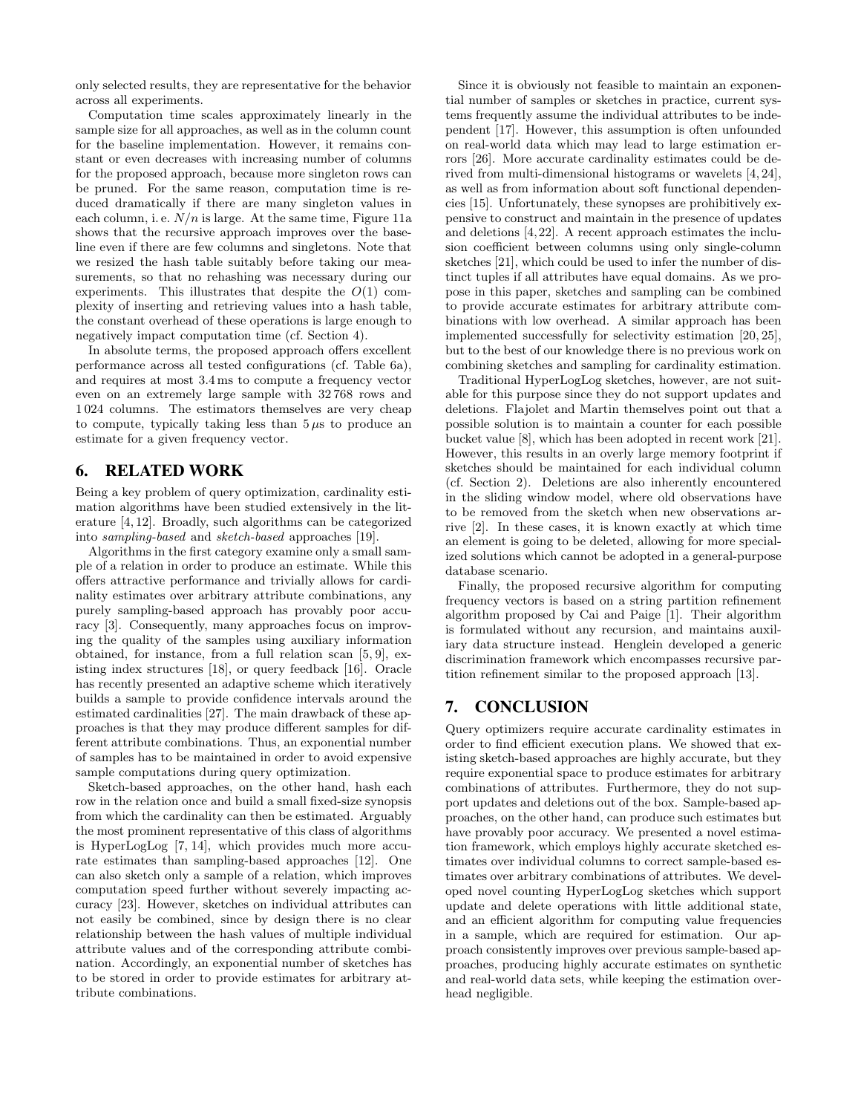only selected results, they are representative for the behavior across all experiments.

Computation time scales approximately linearly in the sample size for all approaches, as well as in the column count for the baseline implementation. However, it remains constant or even decreases with increasing number of columns for the proposed approach, because more singleton rows can be pruned. For the same reason, computation time is reduced dramatically if there are many singleton values in each column, i. e.  $N/n$  is large. At the same time, Figure 11a shows that the recursive approach improves over the baseline even if there are few columns and singletons. Note that we resized the hash table suitably before taking our measurements, so that no rehashing was necessary during our experiments. This illustrates that despite the  $O(1)$  complexity of inserting and retrieving values into a hash table, the constant overhead of these operations is large enough to negatively impact computation time (cf. Section 4).

In absolute terms, the proposed approach offers excellent performance across all tested configurations (cf. Table 6a), and requires at most 3.4 ms to compute a frequency vector even on an extremely large sample with 32 768 rows and 1 024 columns. The estimators themselves are very cheap to compute, typically taking less than  $5 \mu s$  to produce an estimate for a given frequency vector.

#### 6. RELATED WORK

Being a key problem of query optimization, cardinality estimation algorithms have been studied extensively in the literature [4, 12]. Broadly, such algorithms can be categorized into sampling-based and sketch-based approaches [19].

Algorithms in the first category examine only a small sample of a relation in order to produce an estimate. While this offers attractive performance and trivially allows for cardinality estimates over arbitrary attribute combinations, any purely sampling-based approach has provably poor accuracy [3]. Consequently, many approaches focus on improving the quality of the samples using auxiliary information obtained, for instance, from a full relation scan [5, 9], existing index structures [18], or query feedback [16]. Oracle has recently presented an adaptive scheme which iteratively builds a sample to provide confidence intervals around the estimated cardinalities [27]. The main drawback of these approaches is that they may produce different samples for different attribute combinations. Thus, an exponential number of samples has to be maintained in order to avoid expensive sample computations during query optimization.

Sketch-based approaches, on the other hand, hash each row in the relation once and build a small fixed-size synopsis from which the cardinality can then be estimated. Arguably the most prominent representative of this class of algorithms is HyperLogLog [7, 14], which provides much more accurate estimates than sampling-based approaches [12]. One can also sketch only a sample of a relation, which improves computation speed further without severely impacting accuracy [23]. However, sketches on individual attributes can not easily be combined, since by design there is no clear relationship between the hash values of multiple individual attribute values and of the corresponding attribute combination. Accordingly, an exponential number of sketches has to be stored in order to provide estimates for arbitrary attribute combinations.

Since it is obviously not feasible to maintain an exponential number of samples or sketches in practice, current systems frequently assume the individual attributes to be independent [17]. However, this assumption is often unfounded on real-world data which may lead to large estimation errors [26]. More accurate cardinality estimates could be derived from multi-dimensional histograms or wavelets [4, 24], as well as from information about soft functional dependencies [15]. Unfortunately, these synopses are prohibitively expensive to construct and maintain in the presence of updates and deletions [4, 22]. A recent approach estimates the inclusion coefficient between columns using only single-column sketches [21], which could be used to infer the number of distinct tuples if all attributes have equal domains. As we propose in this paper, sketches and sampling can be combined to provide accurate estimates for arbitrary attribute combinations with low overhead. A similar approach has been implemented successfully for selectivity estimation [20, 25], but to the best of our knowledge there is no previous work on combining sketches and sampling for cardinality estimation.

Traditional HyperLogLog sketches, however, are not suitable for this purpose since they do not support updates and deletions. Flajolet and Martin themselves point out that a possible solution is to maintain a counter for each possible bucket value [8], which has been adopted in recent work [21]. However, this results in an overly large memory footprint if sketches should be maintained for each individual column (cf. Section 2). Deletions are also inherently encountered in the sliding window model, where old observations have to be removed from the sketch when new observations arrive [2]. In these cases, it is known exactly at which time an element is going to be deleted, allowing for more specialized solutions which cannot be adopted in a general-purpose database scenario.

Finally, the proposed recursive algorithm for computing frequency vectors is based on a string partition refinement algorithm proposed by Cai and Paige [1]. Their algorithm is formulated without any recursion, and maintains auxiliary data structure instead. Henglein developed a generic discrimination framework which encompasses recursive partition refinement similar to the proposed approach [13].

# 7. CONCLUSION

Query optimizers require accurate cardinality estimates in order to find efficient execution plans. We showed that existing sketch-based approaches are highly accurate, but they require exponential space to produce estimates for arbitrary combinations of attributes. Furthermore, they do not support updates and deletions out of the box. Sample-based approaches, on the other hand, can produce such estimates but have provably poor accuracy. We presented a novel estimation framework, which employs highly accurate sketched estimates over individual columns to correct sample-based estimates over arbitrary combinations of attributes. We developed novel counting HyperLogLog sketches which support update and delete operations with little additional state, and an efficient algorithm for computing value frequencies in a sample, which are required for estimation. Our approach consistently improves over previous sample-based approaches, producing highly accurate estimates on synthetic and real-world data sets, while keeping the estimation overhead negligible.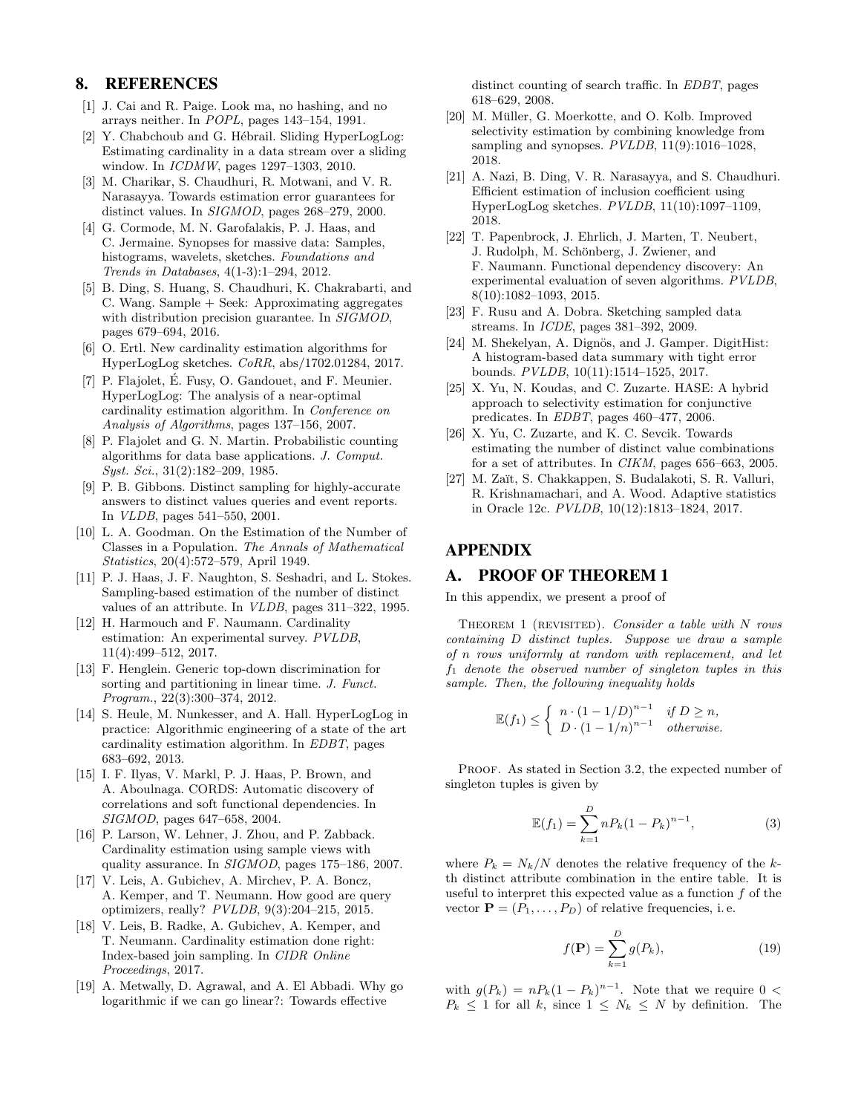# 8. REFERENCES

- [1] J. Cai and R. Paige. Look ma, no hashing, and no arrays neither. In POPL, pages 143–154, 1991.
- [2] Y. Chabchoub and G. Hébrail. Sliding HyperLogLog: Estimating cardinality in a data stream over a sliding window. In ICDMW, pages 1297–1303, 2010.
- [3] M. Charikar, S. Chaudhuri, R. Motwani, and V. R. Narasayya. Towards estimation error guarantees for distinct values. In SIGMOD, pages 268–279, 2000.
- [4] G. Cormode, M. N. Garofalakis, P. J. Haas, and C. Jermaine. Synopses for massive data: Samples, histograms, wavelets, sketches. Foundations and Trends in Databases, 4(1-3):1–294, 2012.
- [5] B. Ding, S. Huang, S. Chaudhuri, K. Chakrabarti, and C. Wang. Sample + Seek: Approximating aggregates with distribution precision guarantee. In SIGMOD, pages 679–694, 2016.
- [6] O. Ertl. New cardinality estimation algorithms for HyperLogLog sketches. CoRR, abs/1702.01284, 2017.
- [7] P. Flajolet, É. Fusy, O. Gandouet, and F. Meunier. HyperLogLog: The analysis of a near-optimal cardinality estimation algorithm. In Conference on Analysis of Algorithms, pages 137–156, 2007.
- [8] P. Flajolet and G. N. Martin. Probabilistic counting algorithms for data base applications. J. Comput. Syst. Sci., 31(2):182–209, 1985.
- [9] P. B. Gibbons. Distinct sampling for highly-accurate answers to distinct values queries and event reports. In VLDB, pages 541–550, 2001.
- [10] L. A. Goodman. On the Estimation of the Number of Classes in a Population. The Annals of Mathematical Statistics, 20(4):572–579, April 1949.
- [11] P. J. Haas, J. F. Naughton, S. Seshadri, and L. Stokes. Sampling-based estimation of the number of distinct values of an attribute. In VLDB, pages 311–322, 1995.
- [12] H. Harmouch and F. Naumann. Cardinality estimation: An experimental survey. PVLDB, 11(4):499–512, 2017.
- [13] F. Henglein. Generic top-down discrimination for sorting and partitioning in linear time. J. Funct. Program., 22(3):300–374, 2012.
- [14] S. Heule, M. Nunkesser, and A. Hall. HyperLogLog in practice: Algorithmic engineering of a state of the art cardinality estimation algorithm. In EDBT, pages 683–692, 2013.
- [15] I. F. Ilyas, V. Markl, P. J. Haas, P. Brown, and A. Aboulnaga. CORDS: Automatic discovery of correlations and soft functional dependencies. In SIGMOD, pages 647–658, 2004.
- [16] P. Larson, W. Lehner, J. Zhou, and P. Zabback. Cardinality estimation using sample views with quality assurance. In SIGMOD, pages 175–186, 2007.
- [17] V. Leis, A. Gubichev, A. Mirchev, P. A. Boncz, A. Kemper, and T. Neumann. How good are query optimizers, really? PVLDB, 9(3):204–215, 2015.
- [18] V. Leis, B. Radke, A. Gubichev, A. Kemper, and T. Neumann. Cardinality estimation done right: Index-based join sampling. In CIDR Online Proceedings, 2017.
- [19] A. Metwally, D. Agrawal, and A. El Abbadi. Why go logarithmic if we can go linear?: Towards effective

distinct counting of search traffic. In EDBT, pages 618–629, 2008.

- [20] M. Müller, G. Moerkotte, and O. Kolb. Improved selectivity estimation by combining knowledge from sampling and synopses.  $PVLDB$ , 11(9):1016-1028, 2018.
- [21] A. Nazi, B. Ding, V. R. Narasayya, and S. Chaudhuri. Efficient estimation of inclusion coefficient using HyperLogLog sketches. PVLDB, 11(10):1097–1109, 2018.
- [22] T. Papenbrock, J. Ehrlich, J. Marten, T. Neubert, J. Rudolph, M. Schönberg, J. Zwiener, and F. Naumann. Functional dependency discovery: An experimental evaluation of seven algorithms. PVLDB, 8(10):1082–1093, 2015.
- [23] F. Rusu and A. Dobra. Sketching sampled data streams. In ICDE, pages 381–392, 2009.
- [24] M. Shekelyan, A. Dignös, and J. Gamper. DigitHist: A histogram-based data summary with tight error bounds. PVLDB, 10(11):1514–1525, 2017.
- [25] X. Yu, N. Koudas, and C. Zuzarte. HASE: A hybrid approach to selectivity estimation for conjunctive predicates. In EDBT, pages 460–477, 2006.
- [26] X. Yu, C. Zuzarte, and K. C. Sevcik. Towards estimating the number of distinct value combinations for a set of attributes. In CIKM, pages 656–663, 2005.
- [27] M. Zaït, S. Chakkappen, S. Budalakoti, S. R. Valluri, R. Krishnamachari, and A. Wood. Adaptive statistics in Oracle 12c. PVLDB, 10(12):1813–1824, 2017.

# APPENDIX

# A. PROOF OF THEOREM 1

In this appendix, we present a proof of

THEOREM  $1$  (REVISITED). Consider a table with N rows containing D distinct tuples. Suppose we draw a sample of n rows uniformly at random with replacement, and let  $f_1$  denote the observed number of singleton tuples in this sample. Then, the following inequality holds

$$
\mathbb{E}(f_1) \leq \begin{cases} n \cdot (1 - 1/D)^{n-1} & \text{if } D \geq n, \\ D \cdot (1 - 1/n)^{n-1} & \text{otherwise.} \end{cases}
$$

PROOF. As stated in Section 3.2, the expected number of singleton tuples is given by

$$
\mathbb{E}(f_1) = \sum_{k=1}^{D} n P_k (1 - P_k)^{n-1},\tag{3}
$$

where  $P_k = N_k/N$  denotes the relative frequency of the kth distinct attribute combination in the entire table. It is useful to interpret this expected value as a function f of the vector  $\mathbf{P} = (P_1, \ldots, P_D)$  of relative frequencies, i.e.

$$
f(\mathbf{P}) = \sum_{k=1}^{D} g(P_k),
$$
\n(19)

with  $g(P_k) = nP_k(1 - P_k)^{n-1}$ . Note that we require 0 <  $P_k \leq 1$  for all k, since  $1 \leq N_k \leq N$  by definition. The